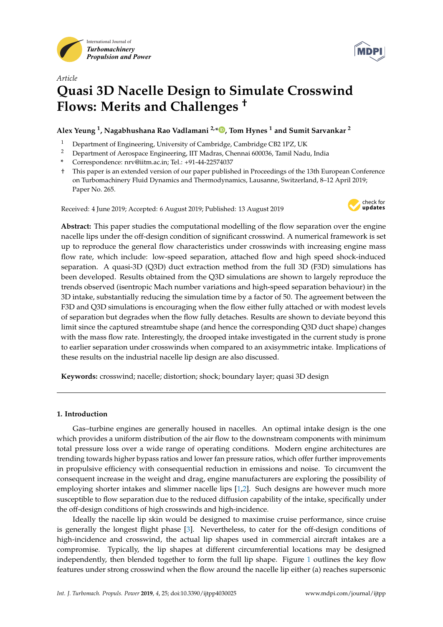



# *Article* **Quasi 3D Nacelle Design to Simulate Crosswind Flows: Merits and Challenges †**

**Alex Yeung <sup>1</sup> , Nagabhushana Rao Vadlamani 2,\* , Tom Hynes <sup>1</sup> and Sumit Sarvankar <sup>2</sup>**

- <sup>1</sup> Department of Engineering, University of Cambridge, Cambridge CB2 1PZ, UK<br><sup>2</sup> Department of Agreenage Engineering, UT Madres, Channai 600026, Tamil Nadi
- <sup>2</sup> Department of Aerospace Engineering, IIT Madras, Chennai 600036, Tamil Nadu, India
- **\*** Correspondence: nrv@iitm.ac.in; Tel.: +91-44-22574037
- † This paper is an extended version of our paper published in Proceedings of the 13th European Conference on Turbomachinery Fluid Dynamics and Thermodynamics, Lausanne, Switzerland, 8–12 April 2019; Paper No. 265.

Received: 4 June 2019; Accepted: 6 August 2019; Published: 13 August 2019



**Abstract:** This paper studies the computational modelling of the flow separation over the engine nacelle lips under the off-design condition of significant crosswind. A numerical framework is set up to reproduce the general flow characteristics under crosswinds with increasing engine mass flow rate, which include: low-speed separation, attached flow and high speed shock-induced separation. A quasi-3D (Q3D) duct extraction method from the full 3D (F3D) simulations has been developed. Results obtained from the Q3D simulations are shown to largely reproduce the trends observed (isentropic Mach number variations and high-speed separation behaviour) in the 3D intake, substantially reducing the simulation time by a factor of 50. The agreement between the F3D and Q3D simulations is encouraging when the flow either fully attached or with modest levels of separation but degrades when the flow fully detaches. Results are shown to deviate beyond this limit since the captured streamtube shape (and hence the corresponding Q3D duct shape) changes with the mass flow rate. Interestingly, the drooped intake investigated in the current study is prone to earlier separation under crosswinds when compared to an axisymmetric intake. Implications of these results on the industrial nacelle lip design are also discussed.

**Keywords:** crosswind; nacelle; distortion; shock; boundary layer; quasi 3D design

# **1. Introduction**

Gas–turbine engines are generally housed in nacelles. An optimal intake design is the one which provides a uniform distribution of the air flow to the downstream components with minimum total pressure loss over a wide range of operating conditions. Modern engine architectures are trending towards higher bypass ratios and lower fan pressure ratios, which offer further improvements in propulsive efficiency with consequential reduction in emissions and noise. To circumvent the consequent increase in the weight and drag, engine manufacturers are exploring the possibility of employing shorter intakes and slimmer nacelle lips [1,2]. Such designs are however much more susceptible to flow separation due to the reduced diffusion capability of the intake, specifically under the off-design conditions of high crosswinds and high-incidence.

Ideally the nacelle lip skin would be designed to maximise cruise performance, since cruise is generally the longest flight phase [3]. Nevertheless, to cater for the off-design conditions of high-incidence and crosswind, the actual lip shapes used in commercial aircraft intakes are a compromise. Typically, the lip shapes at different circumferential locations may be designed independently, then blended together to form the full lip shape. Figure 1 outlines the key flow features under strong crosswind when the flow around the nacelle lip either (a) reaches supersonic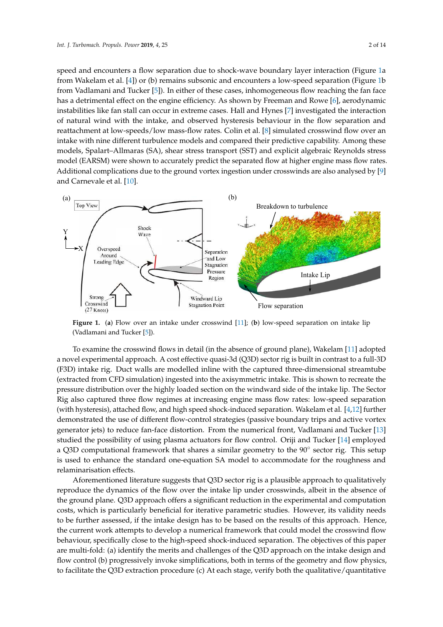speed and encounters a flow separation due to shock-wave boundary layer interaction (Figure 1a from Wakelam et al. [4]) or (b) remains subsonic and encounters a low-speed separation (Figure 1b from Vadlamani and Tucker [5]). In either of these cases, inhomogeneous flow reaching the fan face has a detrimental effect on the engine efficiency. As shown by Freeman and Rowe [6], aerodynamic instabilities like fan stall can occur in extreme cases. Hall and Hynes [7] investigated the interaction of natural wind with the intake, and observed hysteresis behaviour in the flow separation and reattachment at low-speeds/low mass-flow rates. Colin et al. [8] simulated crosswind flow over an intake with nine different turbulence models and compared their predictive capability. Among these models, Spalart–Allmaras (SA), shear stress transport (SST) and explicit algebraic Reynolds stress model (EARSM) were shown to accurately predict the separated flow at higher engine mass flow rates. Additional complications due to the ground vortex ingestion under crosswinds are also analysed by [9] and Carnevale et al. [10].



**Figure 1.** (**a**) Flow over an intake under crosswind [11]; (**b**) low-speed separation on intake lip (Vadlamani and Tucker [5]).

To examine the crosswind flows in detail (in the absence of ground plane), Wakelam [11] adopted a novel experimental approach. A cost effective quasi-3d (Q3D) sector rig is built in contrast to a full-3D (F3D) intake rig. Duct walls are modelled inline with the captured three-dimensional streamtube (extracted from CFD simulation) ingested into the axisymmetric intake. This is shown to recreate the pressure distribution over the highly loaded section on the windward side of the intake lip. The Sector Rig also captured three flow regimes at increasing engine mass flow rates: low-speed separation (with hysteresis), attached flow, and high speed shock-induced separation. Wakelam et al. [4,12] further demonstrated the use of different flow-control strategies (passive boundary trips and active vortex generator jets) to reduce fan-face distortion. From the numerical front, Vadlamani and Tucker [13] studied the possibility of using plasma actuators for flow control. Oriji and Tucker [14] employed a Q3D computational framework that shares a similar geometry to the 90° sector rig. This setup is used to enhance the standard one-equation SA model to accommodate for the roughness and relaminarisation effects.

Aforementioned literature suggests that Q3D sector rig is a plausible approach to qualitatively reproduce the dynamics of the flow over the intake lip under crosswinds, albeit in the absence of the ground plane. Q3D approach offers a significant reduction in the experimental and computation costs, which is particularly beneficial for iterative parametric studies. However, its validity needs to be further assessed, if the intake design has to be based on the results of this approach. Hence, the current work attempts to develop a numerical framework that could model the crosswind flow behaviour, specifically close to the high-speed shock-induced separation. The objectives of this paper are multi-fold: (a) identify the merits and challenges of the Q3D approach on the intake design and flow control (b) progressively invoke simplifications, both in terms of the geometry and flow physics, to facilitate the Q3D extraction procedure (c) At each stage, verify both the qualitative/quantitative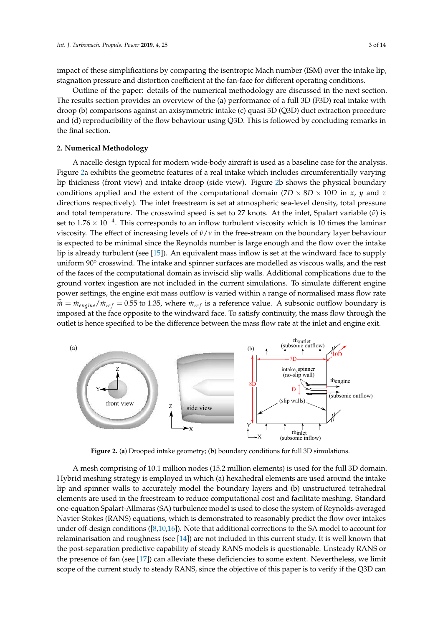impact of these simplifications by comparing the isentropic Mach number (ISM) over the intake lip, stagnation pressure and distortion coefficient at the fan-face for different operating conditions.

Outline of the paper: details of the numerical methodology are discussed in the next section. The results section provides an overview of the (a) performance of a full 3D (F3D) real intake with droop (b) comparisons against an axisymmetric intake (c) quasi 3D (Q3D) duct extraction procedure and (d) reproducibility of the flow behaviour using Q3D. This is followed by concluding remarks in the final section.

## **2. Numerical Methodology**

A nacelle design typical for modern wide-body aircraft is used as a baseline case for the analysis. Figure 2a exhibits the geometric features of a real intake which includes circumferentially varying lip thickness (front view) and intake droop (side view). Figure 2b shows the physical boundary conditions applied and the extent of the computational domain  $(7D \times 8D \times 10D)$  in *x*, *y* and *z* directions respectively). The inlet freestream is set at atmospheric sea-level density, total pressure and total temperature. The crosswind speed is set to 27 knots. At the inlet, Spalart variable ( $ν$ ) is set to  $1.76 \times 10^{-4}$ . This corresponds to an inflow turbulent viscosity which is 10 times the laminar viscosity. The effect of increasing levels of *ν*˜/*ν* in the free-stream on the boundary layer behaviour is expected to be minimal since the Reynolds number is large enough and the flow over the intake lip is already turbulent (see [15]). An equivalent mass inflow is set at the windward face to supply uniform 90° crosswind. The intake and spinner surfaces are modelled as viscous walls, and the rest of the faces of the computational domain as inviscid slip walls. Additional complications due to the ground vortex ingestion are not included in the current simulations. To simulate different engine power settings, the engine exit mass outflow is varied within a range of normalised mass flow rate  $m = m_{engine}/m_{ref} = 0.55$  to 1.35, where  $m_{ref}$  is a reference value. A subsonic outflow boundary is imposed at the face opposite to the windward face. To satisfy continuity, the mass flow through the outlet is hence specified to be the difference between the mass flow rate at the inlet and engine exit.



**Figure 2.** (**a**) Drooped intake geometry; (**b**) boundary conditions for full 3D simulations.

A mesh comprising of 10.1 million nodes (15.2 million elements) is used for the full 3D domain. Hybrid meshing strategy is employed in which (a) hexahedral elements are used around the intake lip and spinner walls to accurately model the boundary layers and (b) unstructured tetrahedral elements are used in the freestream to reduce computational cost and facilitate meshing. Standard one-equation Spalart-Allmaras (SA) turbulence model is used to close the system of Reynolds-averaged Navier-Stokes (RANS) equations, which is demonstrated to reasonably predict the flow over intakes under off-design conditions ([8,10,16]). Note that additional corrections to the SA model to account for relaminarisation and roughness (see [14]) are not included in this current study. It is well known that the post-separation predictive capability of steady RANS models is questionable. Unsteady RANS or the presence of fan (see [17]) can alleviate these deficiencies to some extent. Nevertheless, we limit scope of the current study to steady RANS, since the objective of this paper is to verify if the Q3D can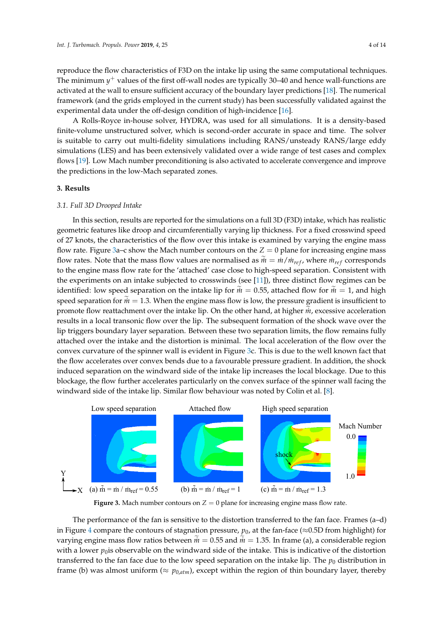reproduce the flow characteristics of F3D on the intake lip using the same computational techniques. The minimum  $y^+$  values of the first off-wall nodes are typically 30–40 and hence wall-functions are activated at the wall to ensure sufficient accuracy of the boundary layer predictions [18]. The numerical framework (and the grids employed in the current study) has been successfully validated against the experimental data under the off-design condition of high-incidence [16].

A Rolls-Royce in-house solver, HYDRA, was used for all simulations. It is a density-based finite-volume unstructured solver, which is second-order accurate in space and time. The solver is suitable to carry out multi-fidelity simulations including RANS/unsteady RANS/large eddy simulations (LES) and has been extensively validated over a wide range of test cases and complex flows [19]. Low Mach number preconditioning is also activated to accelerate convergence and improve the predictions in the low-Mach separated zones.

# **3. Results**

# *3.1. Full 3D Drooped Intake*

In this section, results are reported for the simulations on a full 3D (F3D) intake, which has realistic geometric features like droop and circumferentially varying lip thickness. For a fixed crosswind speed of 27 knots, the characteristics of the flow over this intake is examined by varying the engine mass flow rate. Figure 3a–c show the Mach number contours on the  $Z = 0$  plane for increasing engine mass flow rates. Note that the mass flow values are normalised as  $\dot{m} = \dot{m}/\dot{m}_{ref}$ , where  $\dot{m}_{ref}$  corresponds to the engine mass flow rate for the 'attached' case close to high-speed separation. Consistent with the experiments on an intake subjected to crosswinds (see [11]), three distinct flow regimes can be identified: low speed separation on the intake lip for  $\tilde{m} = 0.55$ , attached flow for  $\tilde{m} = 1$ , and high speed separation for  $\dot{m} = 1.3$ . When the engine mass flow is low, the pressure gradient is insufficient to promote flow reattachment over the intake lip. On the other hand, at higher *m*, excessive acceleration results in a local transonic flow over the lip. The subsequent formation of the shock wave over the lip triggers boundary layer separation. Between these two separation limits, the flow remains fully attached over the intake and the distortion is minimal. The local acceleration of the flow over the convex curvature of the spinner wall is evident in Figure 3c. This is due to the well known fact that the flow accelerates over convex bends due to a favourable pressure gradient. In addition, the shock induced separation on the windward side of the intake lip increases the local blockage. Due to this blockage, the flow further accelerates particularly on the convex surface of the spinner wall facing the windward side of the intake lip. Similar flow behaviour was noted by Colin et al. [8].



**Figure 3.** Mach number contours on  $Z = 0$  plane for increasing engine mass flow rate.

The performance of the fan is sensitive to the distortion transferred to the fan face. Frames (a–d) in Figure 4 compare the contours of stagnation pressure,  $p_0$ , at the fan-face ( $\approx$ 0.5D from highlight) for varying engine mass flow ratios between  $\tilde{m} = 0.55$  and  $\tilde{m} = 1.35$ . In frame (a), a considerable region with a lower  $p_0$  is observable on the windward side of the intake. This is indicative of the distortion transferred to the fan face due to the low speed separation on the intake lip. The  $p_0$  distribution in frame (b) was almost uniform ( $\approx p_{0,atm}$ ), except within the region of thin boundary layer, thereby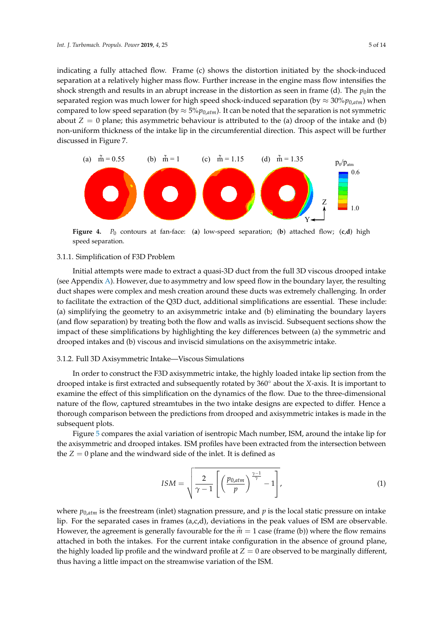indicating a fully attached flow. Frame (c) shows the distortion initiated by the shock-induced separation at a relatively higher mass flow. Further increase in the engine mass flow intensifies the shock strength and results in an abrupt increase in the distortion as seen in frame (d). The  $p_0$ in the separated region was much lower for high speed shock-induced separation (by  $\approx 30\%p_{0,atm}$ ) when compared to low speed separation (by  $\approx 5\%p_{0,atm}$ ). It can be noted that the separation is not symmetric about  $Z = 0$  plane; this asymmetric behaviour is attributed to the (a) droop of the intake and (b) non-uniform thickness of the intake lip in the circumferential direction. This aspect will be further discussed in Figure 7.



**Figure 4.** *P*<sup>0</sup> contours at fan-face: (**a**) low-speed separation; (**b**) attached flow; (**c**,**d**) high speed separation.

## 3.1.1. Simplification of F3D Problem

Initial attempts were made to extract a quasi-3D duct from the full 3D viscous drooped intake (see Appendix A). However, due to asymmetry and low speed flow in the boundary layer, the resulting duct shapes were complex and mesh creation around these ducts was extremely challenging. In order to facilitate the extraction of the Q3D duct, additional simplifications are essential. These include: (a) simplifying the geometry to an axisymmetric intake and (b) eliminating the boundary layers (and flow separation) by treating both the flow and walls as inviscid. Subsequent sections show the impact of these simplifications by highlighting the key differences between (a) the symmetric and drooped intakes and (b) viscous and inviscid simulations on the axisymmetric intake.

## 3.1.2. Full 3D Axisymmetric Intake—Viscous Simulations

In order to construct the F3D axisymmetric intake, the highly loaded intake lip section from the drooped intake is first extracted and subsequently rotated by 360◦ about the *<sup>X</sup>*-axis. It is important to examine the effect of this simplification on the dynamics of the flow. Due to the three-dimensional nature of the flow, captured streamtubes in the two intake designs are expected to differ. Hence a thorough comparison between the predictions from drooped and axisymmetric intakes is made in the subsequent plots.

Figure 5 compares the axial variation of isentropic Mach number, ISM, around the intake lip for the axisymmetric and drooped intakes. ISM profiles have been extracted from the intersection between the  $Z = 0$  plane and the windward side of the inlet. It is defined as

$$
ISM = \sqrt{\frac{2}{\gamma - 1} \left[ \left( \frac{p_{0,atm}}{p} \right)^{\frac{\gamma - 1}{\gamma}} - 1 \right]},
$$
\n(1)

where  $p_{0,atm}$  is the freestream (inlet) stagnation pressure, and  $p$  is the local static pressure on intake lip. For the separated cases in frames  $(a,c,d)$ , deviations in the peak values of ISM are observable. However, the agreement is generally favourable for the  $\tilde{m} = 1$  case (frame (b)) where the flow remains attached in both the intakes. For the current intake configuration in the absence of ground plane, the highly loaded lip profile and the windward profile at  $Z = 0$  are observed to be marginally different, thus having a little impact on the streamwise variation of the ISM.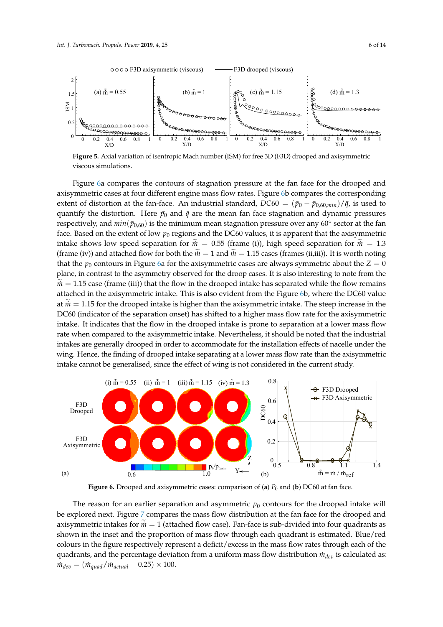

**Figure 5.** Axial variation of isentropic Mach number (ISM) for free 3D (F3D) drooped and axisymmetric viscous simulations.

Figure 6a compares the contours of stagnation pressure at the fan face for the drooped and axisymmetric cases at four different engine mass flow rates. Figure 6b compares the corresponding extent of distortion at the fan-face. An industrial standard,  $DC60 = (\bar{p}_0 - \bar{p}_{0.60,min})/\bar{q}$ , is used to quantify the distortion. Here  $\bar{p}_0$  and  $\bar{q}$  are the mean fan face stagnation and dynamic pressures respectively, and  $min(p_{0,60})$  is the minimum mean stagnation pressure over any 60° sector at the fan face. Based on the extent of low  $p_0$  regions and the DC60 values, it is apparent that the axisymmetric intake shows low speed separation for  $\dot{m} = 0.55$  (frame (i)), high speed separation for  $\dot{m} = 1.3$ (frame (iv)) and attached flow for both the  $\tilde{m} = 1$  and  $\tilde{m} = 1.15$  cases (frames (ii,iii)). It is worth noting that the  $p_0$  contours in Figure 6a for the axisymmetric cases are always symmetric about the  $Z = 0$ plane, in contrast to the asymmetry observed for the droop cases. It is also interesting to note from the  $m = 1.15$  case (frame (iii)) that the flow in the drooped intake has separated while the flow remains attached in the axisymmetric intake. This is also evident from the Figure 6b, where the DC60 value at  $\tilde{m} = 1.15$  for the drooped intake is higher than the axisymmetric intake. The steep increase in the DC60 (indicator of the separation onset) has shifted to a higher mass flow rate for the axisymmetric intake. It indicates that the flow in the drooped intake is prone to separation at a lower mass flow rate when compared to the axisymmetric intake. Nevertheless, it should be noted that the industrial intakes are generally drooped in order to accommodate for the installation effects of nacelle under the wing. Hence, the finding of drooped intake separating at a lower mass flow rate than the axisymmetric intake cannot be generalised, since the effect of wing is not considered in the current study.



**Figure 6.** Drooped and axisymmetric cases: comparison of (**a**) *P*<sup>0</sup> and (**b**) DC60 at fan face.

The reason for an earlier separation and asymmetric  $p<sub>0</sub>$  contours for the drooped intake will be explored next. Figure 7 compares the mass flow distribution at the fan face for the drooped and axisymmetric intakes for  $\tilde{m} = 1$  (attached flow case). Fan-face is sub-divided into four quadrants as shown in the inset and the proportion of mass flow through each quadrant is estimated. Blue/red colours in the figure respectively represent a deficit/excess in the mass flow rates through each of the quadrants, and the percentage deviation from a uniform mass flow distribution  $m_{dev}$  is calculated as:  $\dot{m}_{dev} = (\dot{m}_{quad}/\dot{m}_{actual} - 0.25) \times 100.$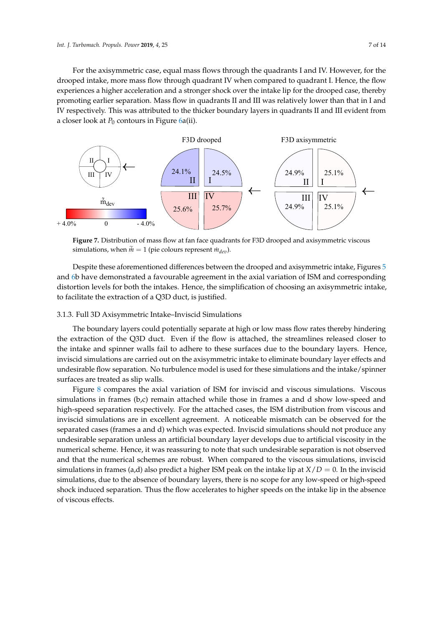For the axisymmetric case, equal mass flows through the quadrants I and IV. However, for the drooped intake, more mass flow through quadrant IV when compared to quadrant I. Hence, the flow experiences a higher acceleration and a stronger shock over the intake lip for the drooped case, thereby promoting earlier separation. Mass flow in quadrants II and III was relatively lower than that in I and IV respectively. This was attributed to the thicker boundary layers in quadrants II and III evident from a closer look at  $P_0$  contours in Figure 6a(ii).



**Figure 7.** Distribution of mass flow at fan face quadrants for F3D drooped and axisymmetric viscous simulations, when  $\tilde{m} = 1$  (pie colours represent  $\dot{m}_{dev}$ ).

Despite these aforementioned differences between the drooped and axisymmetric intake, Figures 5 and 6b have demonstrated a favourable agreement in the axial variation of ISM and corresponding distortion levels for both the intakes. Hence, the simplification of choosing an axisymmetric intake, to facilitate the extraction of a Q3D duct, is justified.

# 3.1.3. Full 3D Axisymmetric Intake–Inviscid Simulations

The boundary layers could potentially separate at high or low mass flow rates thereby hindering the extraction of the Q3D duct. Even if the flow is attached, the streamlines released closer to the intake and spinner walls fail to adhere to these surfaces due to the boundary layers. Hence, inviscid simulations are carried out on the axisymmetric intake to eliminate boundary layer effects and undesirable flow separation. No turbulence model is used for these simulations and the intake/spinner surfaces are treated as slip walls.

Figure 8 compares the axial variation of ISM for inviscid and viscous simulations. Viscous simulations in frames (b,c) remain attached while those in frames a and d show low-speed and high-speed separation respectively. For the attached cases, the ISM distribution from viscous and inviscid simulations are in excellent agreement. A noticeable mismatch can be observed for the separated cases (frames a and d) which was expected. Inviscid simulations should not produce any undesirable separation unless an artificial boundary layer develops due to artificial viscosity in the numerical scheme. Hence, it was reassuring to note that such undesirable separation is not observed and that the numerical schemes are robust. When compared to the viscous simulations, inviscid simulations in frames (a,d) also predict a higher ISM peak on the intake lip at  $X/D = 0$ . In the inviscid simulations, due to the absence of boundary layers, there is no scope for any low-speed or high-speed shock induced separation. Thus the flow accelerates to higher speeds on the intake lip in the absence of viscous effects.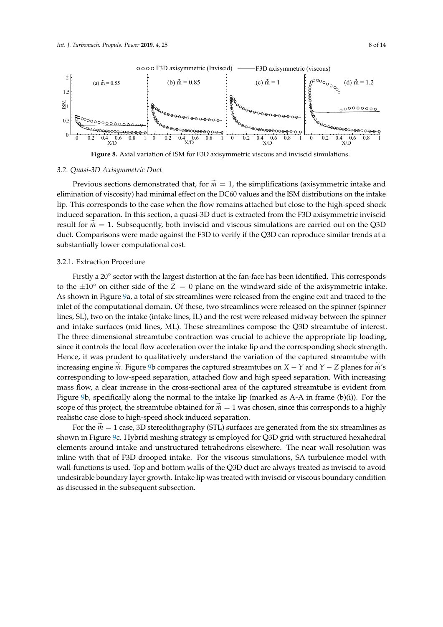

**Figure 8.** Axial variation of ISM for F3D axisymmetric viscous and inviscid simulations.

#### *3.2. Quasi-3D Axisymmetric Duct*

Previous sections demonstrated that, for  $\tilde{m} = 1$ , the simplifications (axisymmetric intake and elimination of viscosity) had minimal effect on the DC60 values and the ISM distributions on the intake lip. This corresponds to the case when the flow remains attached but close to the high-speed shock induced separation. In this section, a quasi-3D duct is extracted from the F3D axisymmetric inviscid result for  $\dot{m} = 1$ . Subsequently, both inviscid and viscous simulations are carried out on the Q3D duct. Comparisons were made against the F3D to verify if the Q3D can reproduce similar trends at a substantially lower computational cost.

## 3.2.1. Extraction Procedure

Firstly a 20° sector with the largest distortion at the fan-face has been identified. This corresponds to the  $\pm 10^\circ$  on either side of the *Z* = 0 plane on the windward side of the axisymmetric intake. As shown in Figure 9a, a total of six streamlines were released from the engine exit and traced to the inlet of the computational domain. Of these, two streamlines were released on the spinner (spinner lines, SL), two on the intake (intake lines, IL) and the rest were released midway between the spinner and intake surfaces (mid lines, ML). These streamlines compose the Q3D streamtube of interest. The three dimensional streamtube contraction was crucial to achieve the appropriate lip loading, since it controls the local flow acceleration over the intake lip and the corresponding shock strength. Hence, it was prudent to qualitatively understand the variation of the captured streamtube with increasing engine *in*. Figure 9b compares the captured streamtubes on  $X - Y$  and  $Y - Z$  planes for *in*'s corresponding to low-speed separation, attached flow and high speed separation. With increasing mass flow, a clear increase in the cross-sectional area of the captured streamtube is evident from Figure 9b, specifically along the normal to the intake lip (marked as A-A in frame (b)(i)). For the scope of this project, the streamtube obtained for  $\tilde{m} = 1$  was chosen, since this corresponds to a highly realistic case close to high-speed shock induced separation.

For the  $m = 1$  case, 3D stereolithography (STL) surfaces are generated from the six streamlines as shown in Figure 9c. Hybrid meshing strategy is employed for Q3D grid with structured hexahedral elements around intake and unstructured tetrahedrons elsewhere. The near wall resolution was inline with that of F3D drooped intake. For the viscous simulations, SA turbulence model with wall-functions is used. Top and bottom walls of the Q3D duct are always treated as inviscid to avoid undesirable boundary layer growth. Intake lip was treated with inviscid or viscous boundary condition as discussed in the subsequent subsection.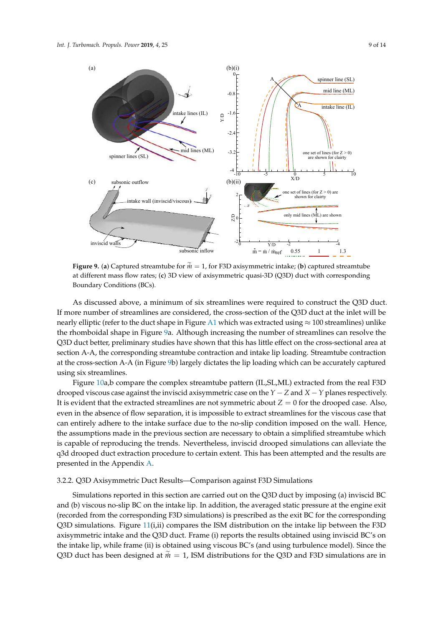spinner lines (SL)





**Figure 9.** (a) Captured streamtube for  $\tilde{m} = 1$ , for F3D axisymmetric intake; (b) captured streamtube at different mass flow rates; (**c**) 3D view of axisymmetric quasi-3D (Q3D) duct with corresponding Boundary Conditions (BCs).

As discussed above, a minimum of six streamlines were required to construct the Q3D duct. If more number of streamlines are considered, the cross-section of the Q3D duct at the inlet will be nearly elliptic (refer to the duct shape in Figure A1 which was extracted using  $\approx 100$  streamlines) unlike the rhomboidal shape in Figure 9a. Although increasing the number of streamlines can resolve the Q3D duct better, preliminary studies have shown that this has little effect on the cross-sectional area at section A-A, the corresponding streamtube contraction and intake lip loading. Streamtube contraction at the cross-section A-A (in Figure 9b) largely dictates the lip loading which can be accurately captured using six streamlines.

Figure 10a,b compare the complex streamtube pattern (IL,SL,ML) extracted from the real F3D drooped viscous case against the inviscid axisymmetric case on the *Y* − *Z* and *X* −*Y* planes respectively. It is evident that the extracted streamlines are not symmetric about  $Z = 0$  for the drooped case. Also, even in the absence of flow separation, it is impossible to extract streamlines for the viscous case that can entirely adhere to the intake surface due to the no-slip condition imposed on the wall. Hence, the assumptions made in the previous section are necessary to obtain a simplified streamtube which is capable of reproducing the trends. Nevertheless, inviscid drooped simulations can alleviate the q3d drooped duct extraction procedure to certain extent. This has been attempted and the results are presented in the Appendix A.

## 3.2.2. Q3D Axisymmetric Duct Results—Comparison against F3D Simulations

Simulations reported in this section are carried out on the Q3D duct by imposing (a) inviscid BC and (b) viscous no-slip BC on the intake lip. In addition, the averaged static pressure at the engine exit (recorded from the corresponding F3D simulations) is prescribed as the exit BC for the corresponding Q3D simulations. Figure 11(i,ii) compares the ISM distribution on the intake lip between the F3D axisymmetric intake and the Q3D duct. Frame (i) reports the results obtained using inviscid BC's on the intake lip, while frame (ii) is obtained using viscous BC's (and using turbulence model). Since the Q3D duct has been designed at  $\tilde{m} = 1$ , ISM distributions for the Q3D and F3D simulations are in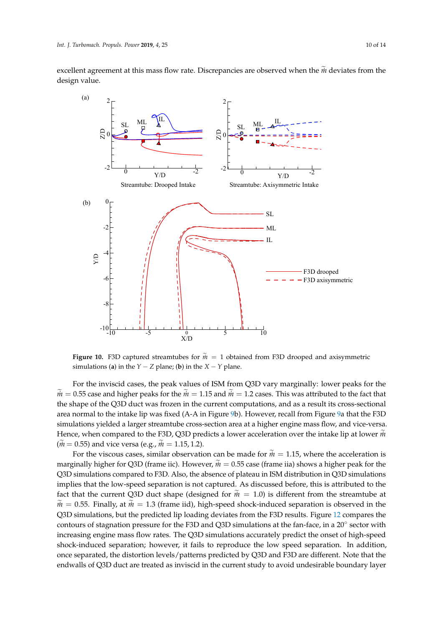excellent agreement at this mass flow rate. Discrepancies are observed when the  $\tilde{m}$  deviates from the design value.



**Figure 10.** F3D captured streamtubes for  $\tilde{m} = 1$  obtained from F3D drooped and axisymmetric simulations (**a**) in the *Y* − *Z* plane; (**b**) in the *X* − *Y* plane.

For the inviscid cases, the peak values of ISM from Q3D vary marginally: lower peaks for the  $m = 0.55$  case and higher peaks for the  $m = 1.15$  and  $m = 1.2$  cases. This was attributed to the fact that the shape of the Q3D duct was frozen in the current computations, and as a result its cross-sectional area normal to the intake lip was fixed (A-A in Figure 9b). However, recall from Figure 9a that the F3D simulations yielded a larger streamtube cross-section area at a higher engine mass flow, and vice-versa. Hence, when compared to the F3D, Q3D predicts a lower acceleration over the intake lip at lower  $\tilde{m}$  $(m = 0.55)$  and vice versa (e.g.,  $\tilde{m} = 1.15, 1.2$ ).

For the viscous cases, similar observation can be made for  $\tilde{m} = 1.15$ , where the acceleration is marginally higher for Q3D (frame iic). However,  $\dot{m} = 0.55$  case (frame iia) shows a higher peak for the Q3D simulations compared to F3D. Also, the absence of plateau in ISM distribution in Q3D simulations implies that the low-speed separation is not captured. As discussed before, this is attributed to the fact that the current Q3D duct shape (designed for  $\tilde{m} = 1.0$ ) is different from the streamtube at  $m = 0.55$ . Finally, at  $m = 1.3$  (frame iid), high-speed shock-induced separation is observed in the Q3D simulations, but the predicted lip loading deviates from the F3D results. Figure 12 compares the contours of stagnation pressure for the F3D and Q3D simulations at the fan-face, in a 20◦ sector with increasing engine mass flow rates. The Q3D simulations accurately predict the onset of high-speed shock-induced separation; however, it fails to reproduce the low speed separation. In addition, once separated, the distortion levels/patterns predicted by Q3D and F3D are different. Note that the endwalls of Q3D duct are treated as inviscid in the current study to avoid undesirable boundary layer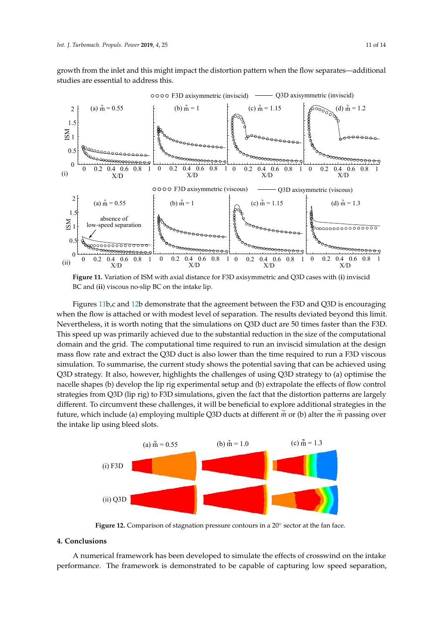growth from the inlet and this might impact the distortion pattern when the flow separates—additional studies are essential to address this.



**Figure 11.** Variation of ISM with axial distance for F3D axisymmetric and Q3D cases with (**i**) inviscid BC and (**ii**) viscous no-slip BC on the intake lip.

Figures 11b,c and 12b demonstrate that the agreement between the F3D and Q3D is encouraging when the flow is attached or with modest level of separation. The results deviated beyond this limit. Nevertheless, it is worth noting that the simulations on Q3D duct are 50 times faster than the F3D. This speed up was primarily achieved due to the substantial reduction in the size of the computational domain and the grid. The computational time required to run an inviscid simulation at the design mass flow rate and extract the Q3D duct is also lower than the time required to run a F3D viscous simulation. To summarise, the current study shows the potential saving that can be achieved using Q3D strategy. It also, however, highlights the challenges of using Q3D strategy to (a) optimise the nacelle shapes (b) develop the lip rig experimental setup and (b) extrapolate the effects of flow control strategies from Q3D (lip rig) to F3D simulations, given the fact that the distortion patterns are largely different. To circumvent these challenges, it will be beneficial to explore additional strategies in the future, which include (a) employing multiple Q3D ducts at different  $\tilde{m}$  or (b) alter the  $\tilde{m}$  passing over the intake lip using bleed slots.



Figure 12. Comparison of stagnation pressure contours in a 20° sector at the fan face.

# **4. Conclusions**

A numerical framework has been developed to simulate the effects of crosswind on the intake performance. The framework is demonstrated to be capable of capturing low speed separation,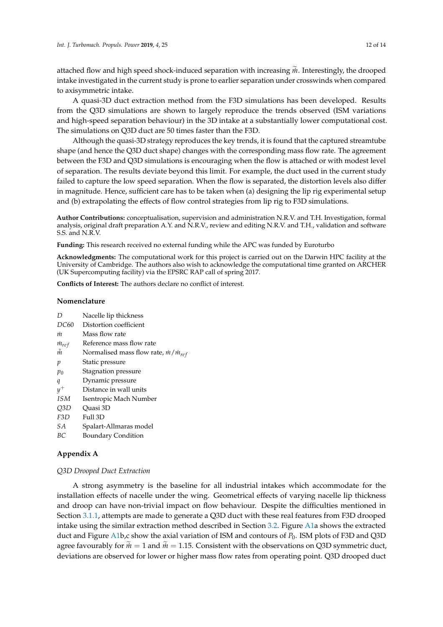attached flow and high speed shock-induced separation with increasing *m*. Interestingly, the drooped intake investigated in the current study is prone to earlier separation under crosswinds when compared to axisymmetric intake.

A quasi-3D duct extraction method from the F3D simulations has been developed. Results from the Q3D simulations are shown to largely reproduce the trends observed (ISM variations and high-speed separation behaviour) in the 3D intake at a substantially lower computational cost. The simulations on Q3D duct are 50 times faster than the F3D.

Although the quasi-3D strategy reproduces the key trends, it is found that the captured streamtube shape (and hence the Q3D duct shape) changes with the corresponding mass flow rate. The agreement between the F3D and Q3D simulations is encouraging when the flow is attached or with modest level of separation. The results deviate beyond this limit. For example, the duct used in the current study failed to capture the low speed separation. When the flow is separated, the distortion levels also differ in magnitude. Hence, sufficient care has to be taken when (a) designing the lip rig experimental setup and (b) extrapolating the effects of flow control strategies from lip rig to F3D simulations.

**Author Contributions:** conceptualisation, supervision and administration N.R.V. and T.H. Investigation, formal analysis, original draft preparation A.Y. and N.R.V., review and editing N.R.V. and T.H., validation and software S.S. and N.R.V.

**Funding:** This research received no external funding while the APC was funded by Euroturbo

**Acknowledgments:** The computational work for this project is carried out on the Darwin HPC facility at the University of Cambridge. The authors also wish to acknowledge the computational time granted on ARCHER (UK Supercomputing facility) via the EPSRC RAP call of spring 2017.

**Conflicts of Interest:** The authors declare no conflict of interest.

## **Nomenclature**

| D |  |  | Nacelle lip thickness |  |
|---|--|--|-----------------------|--|
|---|--|--|-----------------------|--|

- *DC*60 Distortion coefficient
- *m*˙ Mass flow rate
- $m_{ref}$ Reference mass flow rate
- $\tilde{m}$  Normalised mass flow rate,  $\dot{m}/\dot{m}_{ref}$
- *p* Static pressure
- *p*<sup>0</sup> Stagnation pressure
- *q* Dynamic pressure
- *y* Distance in wall units
- *ISM* Isentropic Mach Number
- *Q*3*D* Quasi 3D
- *F*3*D* Full 3D
- *SA* Spalart-Allmaras model
- *BC* Boundary Condition

# **Appendix A**

## *Q3D Drooped Duct Extraction*

A strong asymmetry is the baseline for all industrial intakes which accommodate for the installation effects of nacelle under the wing. Geometrical effects of varying nacelle lip thickness and droop can have non-trivial impact on flow behaviour. Despite the difficulties mentioned in Section 3.1.1, attempts are made to generate a Q3D duct with these real features from F3D drooped intake using the similar extraction method described in Section 3.2. Figure A1a shows the extracted duct and Figure A1b,c show the axial variation of ISM and contours of *P*0. ISM plots of F3D and Q3D agree favourably for  $\tilde{m} = 1$  and  $\tilde{m} = 1.15$ . Consistent with the observations on Q3D symmetric duct, deviations are observed for lower or higher mass flow rates from operating point. Q3D drooped duct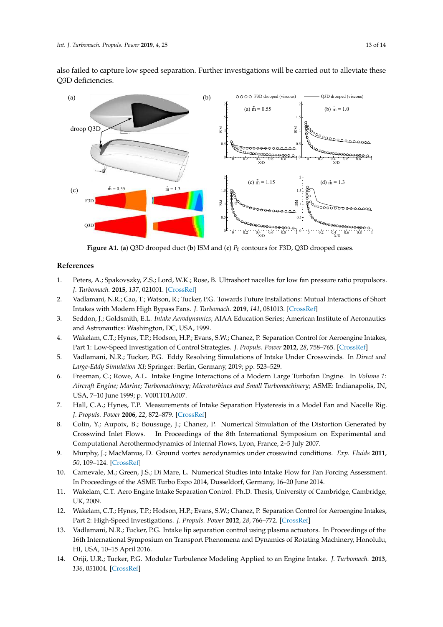also failed to capture low speed separation. Further investigations will be carried out to alleviate these Q3D deficiencies.



**Figure A1.** (**a**) Q3D drooped duct (**b**) ISM and (**c**) *P*<sup>0</sup> contours for F3D, Q3D drooped cases.

## **References**

- 1. Peters, A.; Spakovszky, Z.S.; Lord, W.K.; Rose, B. Ultrashort nacelles for low fan pressure ratio propulsors. *J. Turbomach.* **2015**, *137*, 021001. [CrossRef]
- 2. Vadlamani, N.R.; Cao, T.; Watson, R.; Tucker, P.G. Towards Future Installations: Mutual Interactions of Short Intakes with Modern High Bypass Fans. *J. Turbomach.* **2019**, *141*, 081013. [CrossRef]
- 3. Seddon, J.; Goldsmith, E.L. *Intake Aerodynamics*; AIAA Education Series; American Institute of Aeronautics and Astronautics: Washington, DC, USA, 1999.
- 4. Wakelam, C.T.; Hynes, T.P.; Hodson, H.P.; Evans, S.W.; Chanez, P. Separation Control for Aeroengine Intakes, Part 1: Low-Speed Investigation of Control Strategies. *J. Propuls. Power* **2012**, *28*, 758–765. [CrossRef]
- 5. Vadlamani, N.R.; Tucker, P.G. Eddy Resolving Simulations of Intake Under Crosswinds. In *Direct and Large-Eddy Simulation XI*; Springer: Berlin, Germany, 2019; pp. 523–529.
- 6. Freeman, C.; Rowe, A.L. Intake Engine Interactions of a Modern Large Turbofan Engine. In *Volume 1: Aircraft Engine; Marine; Turbomachinery; Microturbines and Small Turbomachinery*; ASME: Indianapolis, IN, USA, 7–10 June 1999; p. V001T01A007.
- 7. Hall, C.A.; Hynes, T.P. Measurements of Intake Separation Hysteresis in a Model Fan and Nacelle Rig. *J. Propuls. Power* **2006**, *22*, 872–879. [CrossRef]
- 8. Colin, Y.; Aupoix, B.; Boussuge, J.; Chanez, P. Numerical Simulation of the Distortion Generated by Crosswind Inlet Flows. In Proceedings of the 8th International Symposium on Experimental and Computational Aerothermodynamics of Internal Flows, Lyon, France, 2–5 July 2007.
- 9. Murphy, J.; MacManus, D. Ground vortex aerodynamics under crosswind conditions. *Exp. Fluids* **2011**, *50*, 109–124. [CrossRef]
- 10. Carnevale, M.; Green, J.S.; Di Mare, L. Numerical Studies into Intake Flow for Fan Forcing Assessment. In Proceedings of the ASME Turbo Expo 2014, Dusseldorf, Germany, 16–20 June 2014.
- 11. Wakelam, C.T. Aero Engine Intake Separation Control. Ph.D. Thesis, University of Cambridge, Cambridge, UK, 2009.
- 12. Wakelam, C.T.; Hynes, T.P.; Hodson, H.P.; Evans, S.W.; Chanez, P. Separation Control for Aeroengine Intakes, Part 2: High-Speed Investigations. *J. Propuls. Power* **2012**, *28*, 766–772. [CrossRef]
- 13. Vadlamani, N.R.; Tucker, P.G. Intake lip separation control using plasma actuators. In Proceedings of the 16th International Symposium on Transport Phenomena and Dynamics of Rotating Machinery, Honolulu, HI, USA, 10–15 April 2016.
- 14. Oriji, U.R.; Tucker, P.G. Modular Turbulence Modeling Applied to an Engine Intake. *J. Turbomach.* **2013**, *136*, 051004. [CrossRef]